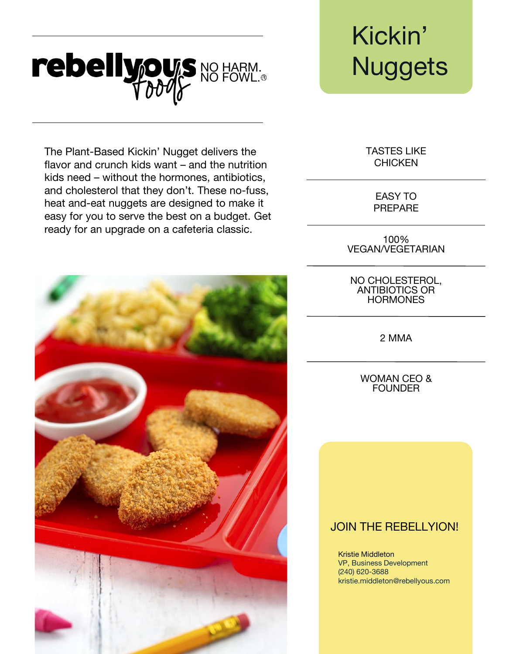## rebellyous No HARM. Nuggets

The Plant-Based Kickin' Nugget delivers the flavor and crunch kids want – and the nutrition kids need – without the hormones, antibiotics, and cholesterol that they don't. These no-fuss, heat and-eat nuggets are designed to make it easy for you to serve the best on a budget. Get ready for an upgrade on a cafeteria classic.



# Kickin'

TASTES LIKE **CHICKEN** 

> EASY TO PREPARE

100% VEGAN/VEGETARIAN

NO CHOLESTEROL, ANTIBIOTICS OR **HORMONES** 

2 MMA

WOMAN CEO & **FOUNDER** 

#### JOIN THE REBELLYION!

Kristie Middleton VP, Business Development (240) 620-3688 kristie.middleton@rebellyous.com